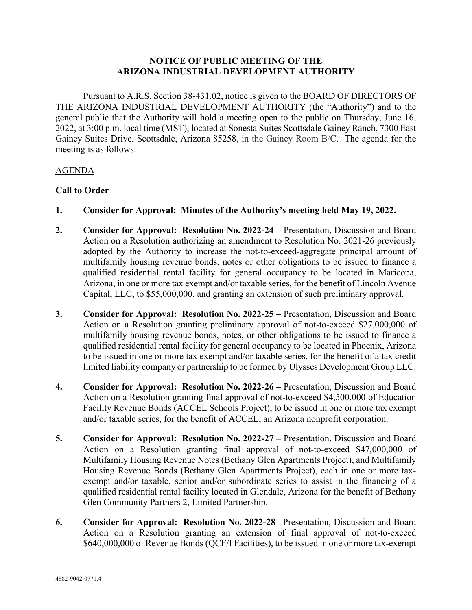## **NOTICE OF PUBLIC MEETING OF THE ARIZONA INDUSTRIAL DEVELOPMENT AUTHORITY**

Pursuant to A.R.S. Section 38-431.02, notice is given to the BOARD OF DIRECTORS OF THE ARIZONA INDUSTRIAL DEVELOPMENT AUTHORITY (the "Authority") and to the general public that the Authority will hold a meeting open to the public on Thursday, June 16, 2022, at 3:00 p.m. local time (MST), located at Sonesta Suites Scottsdale Gainey Ranch, 7300 East Gainey Suites Drive, Scottsdale, Arizona 85258, in the Gainey Room B/C. The agenda for the meeting is as follows:

## AGENDA

## **Call to Order**

- **1. Consider for Approval: Minutes of the Authority's meeting held May 19, 2022.**
- **2. Consider for Approval: Resolution No. 2022-24 –** Presentation, Discussion and Board Action on a Resolution authorizing an amendment to Resolution No. 2021-26 previously adopted by the Authority to increase the not-to-exceed-aggregate principal amount of multifamily housing revenue bonds, notes or other obligations to be issued to finance a qualified residential rental facility for general occupancy to be located in Maricopa, Arizona, in one or more tax exempt and/or taxable series, for the benefit of Lincoln Avenue Capital, LLC, to \$55,000,000, and granting an extension of such preliminary approval.
- **3. Consider for Approval: Resolution No. 2022-25 –** Presentation, Discussion and Board Action on a Resolution granting preliminary approval of not-to-exceed \$27,000,000 of multifamily housing revenue bonds, notes, or other obligations to be issued to finance a qualified residential rental facility for general occupancy to be located in Phoenix, Arizona to be issued in one or more tax exempt and/or taxable series, for the benefit of a tax credit limited liability company or partnership to be formed by Ulysses Development Group LLC.
- **4. Consider for Approval: Resolution No. 2022-26 –** Presentation, Discussion and Board Action on a Resolution granting final approval of not-to-exceed \$4,500,000 of Education Facility Revenue Bonds (ACCEL Schools Project), to be issued in one or more tax exempt and/or taxable series, for the benefit of ACCEL, an Arizona nonprofit corporation.
- **5. Consider for Approval: Resolution No. 2022-27 –** Presentation, Discussion and Board Action on a Resolution granting final approval of not-to-exceed \$47,000,000 of Multifamily Housing Revenue Notes (Bethany Glen Apartments Project), and Multifamily Housing Revenue Bonds (Bethany Glen Apartments Project), each in one or more taxexempt and/or taxable, senior and/or subordinate series to assist in the financing of a qualified residential rental facility located in Glendale, Arizona for the benefit of Bethany Glen Community Partners 2, Limited Partnership.
- **6. Consider for Approval: Resolution No. 2022-28 –**Presentation, Discussion and Board Action on a Resolution granting an extension of final approval of not-to-exceed \$640,000,000 of Revenue Bonds (QCF/I Facilities), to be issued in one or more tax-exempt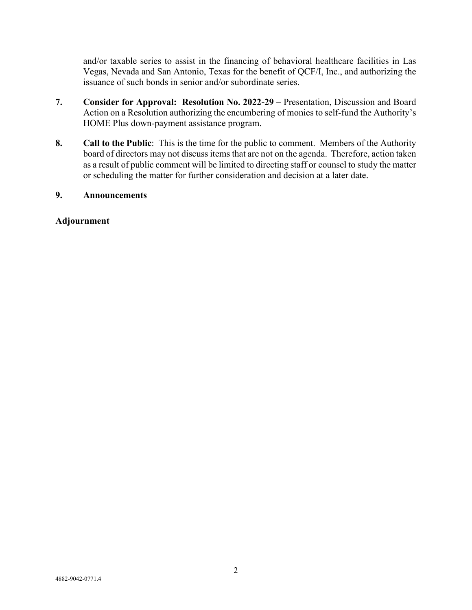and/or taxable series to assist in the financing of behavioral healthcare facilities in Las Vegas, Nevada and San Antonio, Texas for the benefit of QCF/I, Inc., and authorizing the issuance of such bonds in senior and/or subordinate series.

- **7. Consider for Approval: Resolution No. 2022-29 –** Presentation, Discussion and Board Action on a Resolution authorizing the encumbering of monies to self-fund the Authority's HOME Plus down-payment assistance program.
- **8. Call to the Public**: This is the time for the public to comment. Members of the Authority board of directors may not discuss items that are not on the agenda. Therefore, action taken as a result of public comment will be limited to directing staff or counsel to study the matter or scheduling the matter for further consideration and decision at a later date.

# **9. Announcements**

## **Adjournment**